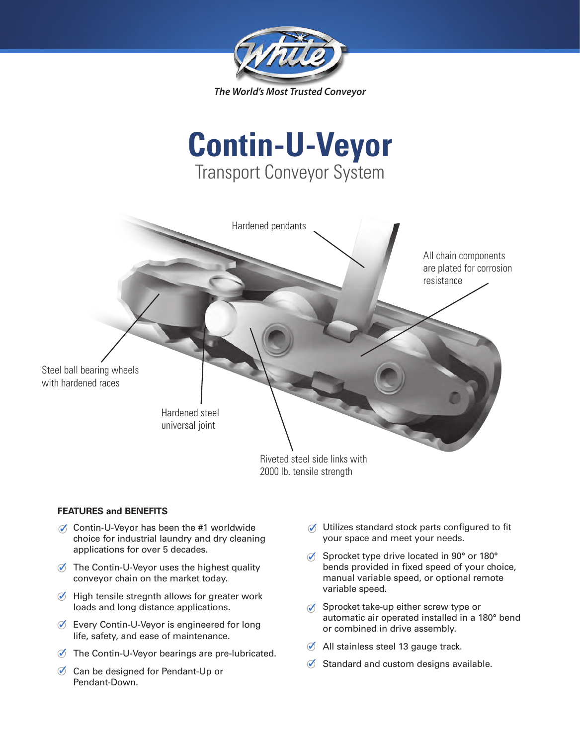

# **Contin-U-Veyor**  Transport Conveyor System



## **FEATURES and BENEFITS**

- $\oslash$  Contin-U-Veyor has been the #1 worldwide choice for industrial laundry and dry cleaning applications for over 5 decades.
- $\oslash$  The Contin-U-Veyor uses the highest quality conveyor chain on the market today.
- $\emptyset$  High tensile stregnth allows for greater work loads and long distance applications.
- $\emptyset$  Every Contin-U-Veyor is engineered for long life, safety, and ease of maintenance.
- $\oslash$  The Contin-U-Veyor bearings are pre-lubricated.
- $\oslash$  Can be designed for Pendant-Up or Pendant-Down.
- $\oslash$  Utilizes standard stock parts configured to fit your space and meet your needs.
- Sprocket type drive located in 90° or 180° bends provided in fixed speed of your choice, manual variable speed, or optional remote variable speed.
- $\oslash$  Sprocket take-up either screw type or automatic air operated installed in a 180° bend or combined in drive assembly.
- $\lozenge$  All stainless steel 13 gauge track.
- $\delta$  Standard and custom designs available.